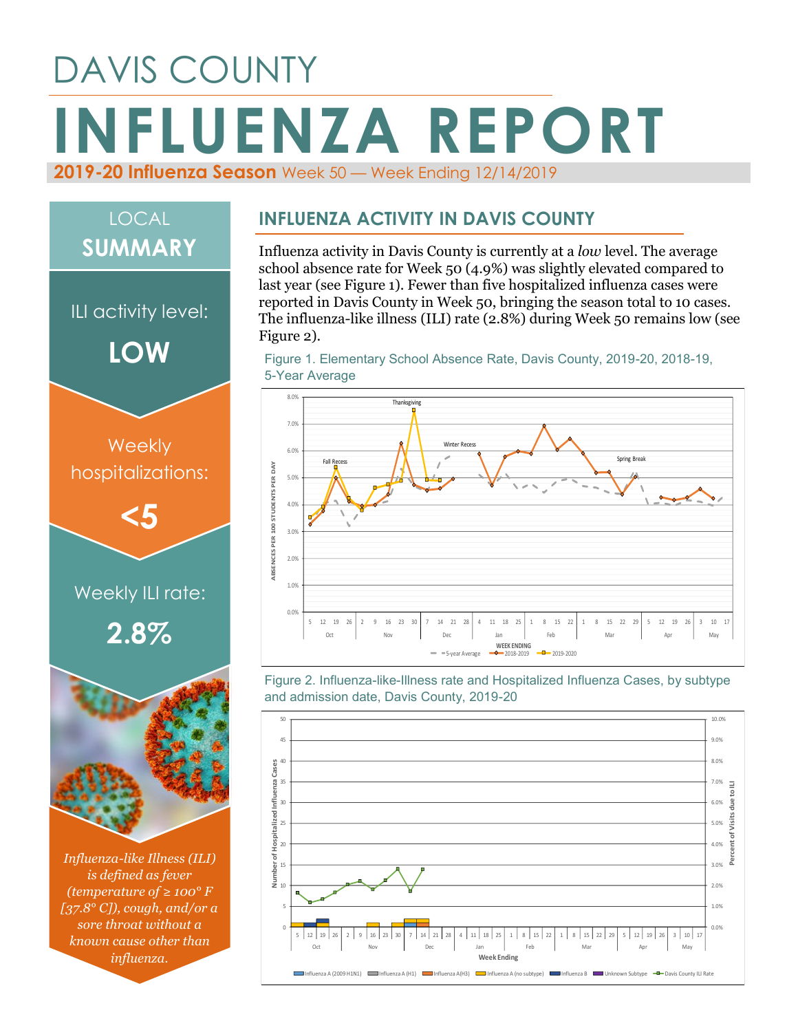## DAVIS COUNTY **INFLUENZA REPORT 2019-20 Influenza Season** Week 50 — Week Ending 12/14/2019

# *Influenza-like Illness (ILI) is defined as fever (temperature of ≥ 100° F [37.8° C]), cough, and/or a*  Weekly ILI rate: **2.8% Weekly** hospitalizations: **<5** ILI activity level: **LOW** LOCAL **SUMMARY**

*sore throat without a known cause other than influenza.*

#### **INFLUENZA ACTIVITY IN DAVIS COUNTY**

Influenza activity in Davis County is currently at a *low* level. The average school absence rate for Week 50 (4.9%) was slightly elevated compared to last year (see Figure 1). Fewer than five hospitalized influenza cases were reported in Davis County in Week 50, bringing the season total to 10 cases. The influenza-like illness (ILI) rate (2.8%) during Week 50 remains low (see Figure 2).

Figure 1. Elementary School Absence Rate, Davis County, 2019-20, 2018-19, 5-Year Average



Figure 2. Influenza-like-Illness rate and Hospitalized Influenza Cases, by subtype and admission date, Davis County, 2019-20